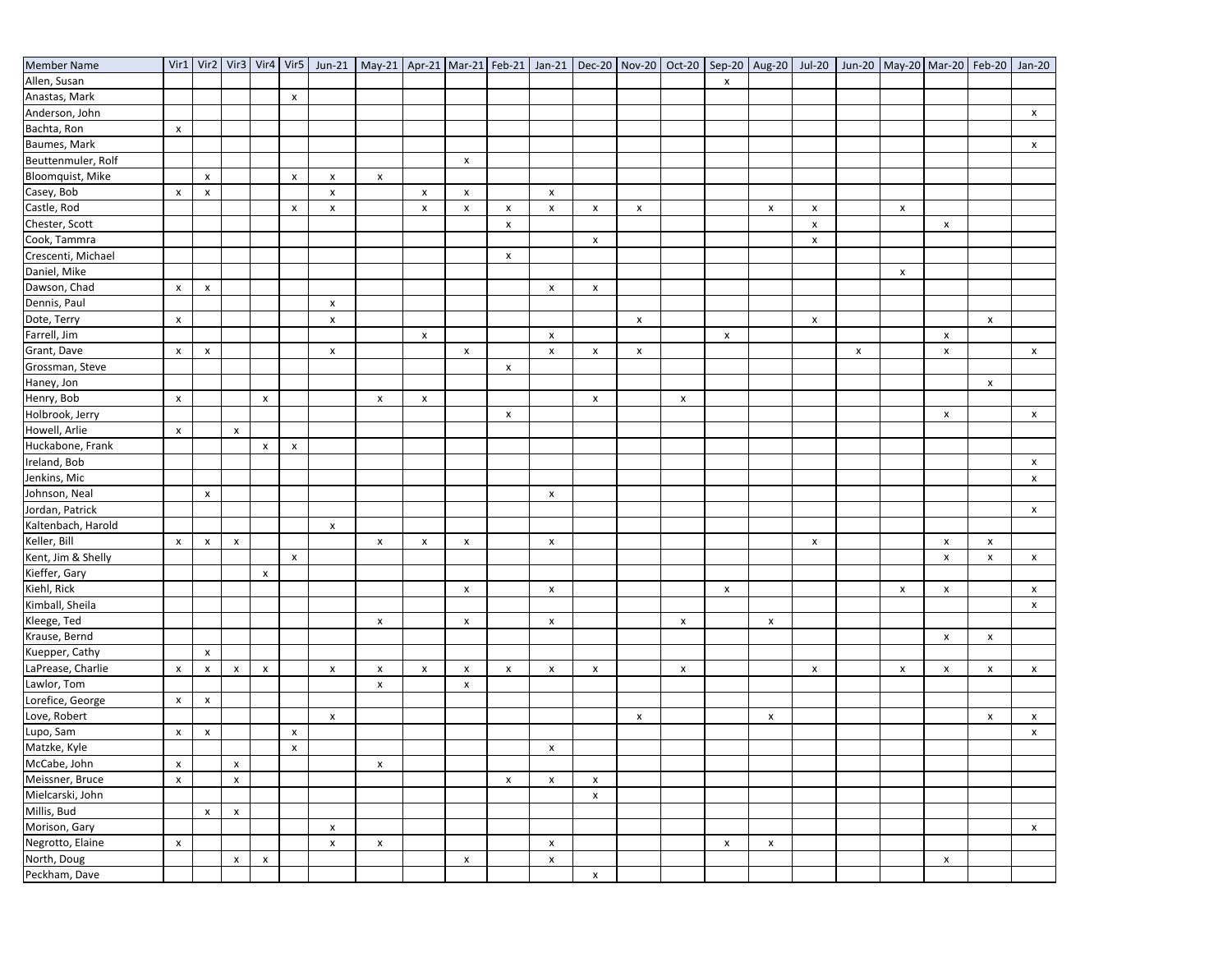| <b>Member Name</b> |                    |                           |                    |                    |                    |                           | Vir1   Vir2   Vir3   Vir4   Vir5   Jun-21   May-21   Apr-21   Mar-21   Feb-21   Jan-21   Dec-20   Nov-20   Oct-20   Sep-20   Aug-20   Jun-20   Jun-20   May-20   Mar-20   Feb-20   Jan-20 |                           |                           |                    |                           |                    |                    |                           |                    |                    |                           |                           |                           |                           |                           |                    |
|--------------------|--------------------|---------------------------|--------------------|--------------------|--------------------|---------------------------|-------------------------------------------------------------------------------------------------------------------------------------------------------------------------------------------|---------------------------|---------------------------|--------------------|---------------------------|--------------------|--------------------|---------------------------|--------------------|--------------------|---------------------------|---------------------------|---------------------------|---------------------------|---------------------------|--------------------|
| Allen, Susan       |                    |                           |                    |                    |                    |                           |                                                                                                                                                                                           |                           |                           |                    |                           |                    |                    |                           | $\pmb{\chi}$       |                    |                           |                           |                           |                           |                           |                    |
| Anastas, Mark      |                    |                           |                    |                    | $\pmb{\times}$     |                           |                                                                                                                                                                                           |                           |                           |                    |                           |                    |                    |                           |                    |                    |                           |                           |                           |                           |                           |                    |
| Anderson, John     |                    |                           |                    |                    |                    |                           |                                                                                                                                                                                           |                           |                           |                    |                           |                    |                    |                           |                    |                    |                           |                           |                           |                           |                           | X                  |
| Bachta, Ron        | $\pmb{\mathsf{x}}$ |                           |                    |                    |                    |                           |                                                                                                                                                                                           |                           |                           |                    |                           |                    |                    |                           |                    |                    |                           |                           |                           |                           |                           |                    |
| Baumes, Mark       |                    |                           |                    |                    |                    |                           |                                                                                                                                                                                           |                           |                           |                    |                           |                    |                    |                           |                    |                    |                           |                           |                           |                           |                           | x                  |
| Beuttenmuler, Rolf |                    |                           |                    |                    |                    |                           |                                                                                                                                                                                           |                           | $\pmb{\chi}$              |                    |                           |                    |                    |                           |                    |                    |                           |                           |                           |                           |                           |                    |
| Bloomquist, Mike   |                    | $\pmb{\times}$            |                    |                    | $\pmb{\mathsf{x}}$ | $\boldsymbol{\mathsf{x}}$ | $\pmb{\mathsf{x}}$                                                                                                                                                                        |                           |                           |                    |                           |                    |                    |                           |                    |                    |                           |                           |                           |                           |                           |                    |
| Casey, Bob         | $\pmb{\mathsf{x}}$ | $\pmb{\mathsf{x}}$        |                    |                    |                    | $\pmb{\times}$            |                                                                                                                                                                                           | $\pmb{\mathsf{x}}$        | $\pmb{\mathsf{x}}$        |                    | $\pmb{\times}$            |                    |                    |                           |                    |                    |                           |                           |                           |                           |                           |                    |
| Castle, Rod        |                    |                           |                    |                    | x                  | $\pmb{\times}$            |                                                                                                                                                                                           | $\pmb{\mathsf{x}}$        | $\pmb{\mathsf{x}}$        | X                  | $\pmb{\mathsf{x}}$        | x                  | $\pmb{\mathsf{x}}$ |                           |                    | $\pmb{\mathsf{x}}$ | $\boldsymbol{\mathsf{x}}$ |                           | $\pmb{\times}$            |                           |                           |                    |
| Chester, Scott     |                    |                           |                    |                    |                    |                           |                                                                                                                                                                                           |                           |                           | $\pmb{\mathsf{x}}$ |                           |                    |                    |                           |                    |                    | $\pmb{\mathsf{x}}$        |                           |                           | X                         |                           |                    |
| Cook, Tammra       |                    |                           |                    |                    |                    |                           |                                                                                                                                                                                           |                           |                           |                    |                           | X                  |                    |                           |                    |                    | $\pmb{\mathsf{x}}$        |                           |                           |                           |                           |                    |
| Crescenti, Michael |                    |                           |                    |                    |                    |                           |                                                                                                                                                                                           |                           |                           | X                  |                           |                    |                    |                           |                    |                    |                           |                           |                           |                           |                           |                    |
| Daniel, Mike       |                    |                           |                    |                    |                    |                           |                                                                                                                                                                                           |                           |                           |                    |                           |                    |                    |                           |                    |                    |                           |                           | $\pmb{\times}$            |                           |                           |                    |
| Dawson, Chad       | $\pmb{\mathsf{x}}$ | $\pmb{\mathsf{x}}$        |                    |                    |                    |                           |                                                                                                                                                                                           |                           |                           |                    | $\pmb{\mathsf{x}}$        | X                  |                    |                           |                    |                    |                           |                           |                           |                           |                           |                    |
| Dennis, Paul       |                    |                           |                    |                    |                    | $\boldsymbol{\mathsf{x}}$ |                                                                                                                                                                                           |                           |                           |                    |                           |                    |                    |                           |                    |                    |                           |                           |                           |                           |                           |                    |
| Dote, Terry        | $\pmb{\mathsf{x}}$ |                           |                    |                    |                    | $\pmb{\times}$            |                                                                                                                                                                                           |                           |                           |                    |                           |                    | X                  |                           |                    |                    | $\pmb{\times}$            |                           |                           |                           | $\boldsymbol{\mathsf{x}}$ |                    |
| Farrell, Jim       |                    |                           |                    |                    |                    |                           |                                                                                                                                                                                           | $\pmb{\mathsf{x}}$        |                           |                    | X                         |                    |                    |                           | X                  |                    |                           |                           |                           | $\boldsymbol{\mathsf{x}}$ |                           |                    |
| Grant, Dave        | $\pmb{\mathsf{x}}$ | $\pmb{\times}$            |                    |                    |                    | $\pmb{\times}$            |                                                                                                                                                                                           |                           | $\pmb{\times}$            |                    | $\pmb{\mathsf{x}}$        | x                  | $\pmb{\times}$     |                           |                    |                    |                           | $\boldsymbol{\mathsf{x}}$ |                           | $\pmb{\times}$            |                           | $\mathsf{x}$       |
| Grossman, Steve    |                    |                           |                    |                    |                    |                           |                                                                                                                                                                                           |                           |                           | $\pmb{\times}$     |                           |                    |                    |                           |                    |                    |                           |                           |                           |                           |                           |                    |
| Haney, Jon         |                    |                           |                    |                    |                    |                           |                                                                                                                                                                                           |                           |                           |                    |                           |                    |                    |                           |                    |                    |                           |                           |                           |                           | X                         |                    |
| Henry, Bob         | $\pmb{\mathsf{x}}$ |                           |                    | $\pmb{\mathsf{x}}$ |                    |                           | $\pmb{\mathsf{x}}$                                                                                                                                                                        | $\pmb{\times}$            |                           |                    |                           | $\pmb{\times}$     |                    | $\pmb{\mathsf{x}}$        |                    |                    |                           |                           |                           |                           |                           |                    |
| Holbrook, Jerry    |                    |                           |                    |                    |                    |                           |                                                                                                                                                                                           |                           |                           | x                  |                           |                    |                    |                           |                    |                    |                           |                           |                           | $\boldsymbol{\mathsf{x}}$ |                           | $\pmb{\mathsf{x}}$ |
| Howell, Arlie      | $\pmb{\mathsf{x}}$ |                           | X                  |                    |                    |                           |                                                                                                                                                                                           |                           |                           |                    |                           |                    |                    |                           |                    |                    |                           |                           |                           |                           |                           |                    |
| Huckabone, Frank   |                    |                           |                    | $\pmb{\mathsf{x}}$ | $\pmb{\mathsf{x}}$ |                           |                                                                                                                                                                                           |                           |                           |                    |                           |                    |                    |                           |                    |                    |                           |                           |                           |                           |                           |                    |
| Ireland, Bob       |                    |                           |                    |                    |                    |                           |                                                                                                                                                                                           |                           |                           |                    |                           |                    |                    |                           |                    |                    |                           |                           |                           |                           |                           | X                  |
| Jenkins, Mic       |                    |                           |                    |                    |                    |                           |                                                                                                                                                                                           |                           |                           |                    |                           |                    |                    |                           |                    |                    |                           |                           |                           |                           |                           | $\pmb{\mathsf{x}}$ |
| Johnson, Neal      |                    | $\pmb{\times}$            |                    |                    |                    |                           |                                                                                                                                                                                           |                           |                           |                    | $\boldsymbol{\mathsf{x}}$ |                    |                    |                           |                    |                    |                           |                           |                           |                           |                           |                    |
| Jordan, Patrick    |                    |                           |                    |                    |                    |                           |                                                                                                                                                                                           |                           |                           |                    |                           |                    |                    |                           |                    |                    |                           |                           |                           |                           |                           | $\mathsf{x}$       |
| Kaltenbach, Harold |                    |                           |                    |                    |                    | $\pmb{\times}$            |                                                                                                                                                                                           |                           |                           |                    |                           |                    |                    |                           |                    |                    |                           |                           |                           |                           |                           |                    |
| Keller, Bill       | X                  | $\pmb{\mathsf{x}}$        | X                  |                    |                    |                           | X                                                                                                                                                                                         | $\pmb{\mathsf{x}}$        | X                         |                    | $\boldsymbol{\mathsf{x}}$ |                    |                    |                           |                    |                    | $\boldsymbol{\mathsf{x}}$ |                           |                           | $\boldsymbol{\mathsf{x}}$ | X                         |                    |
| Kent, Jim & Shelly |                    |                           |                    |                    | $\pmb{\mathsf{X}}$ |                           |                                                                                                                                                                                           |                           |                           |                    |                           |                    |                    |                           |                    |                    |                           |                           |                           | $\boldsymbol{\mathsf{x}}$ | $\pmb{\mathsf{x}}$        | $\pmb{\mathsf{X}}$ |
| Kieffer, Gary      |                    |                           |                    | $\pmb{\times}$     |                    |                           |                                                                                                                                                                                           |                           |                           |                    |                           |                    |                    |                           |                    |                    |                           |                           |                           |                           |                           |                    |
| Kiehl, Rick        |                    |                           |                    |                    |                    |                           |                                                                                                                                                                                           |                           | $\pmb{\times}$            |                    | $\pmb{\mathsf{x}}$        |                    |                    |                           | x                  |                    |                           |                           | $\pmb{\times}$            | $\pmb{\times}$            |                           | x                  |
| Kimball, Sheila    |                    |                           |                    |                    |                    |                           |                                                                                                                                                                                           |                           |                           |                    |                           |                    |                    |                           |                    |                    |                           |                           |                           |                           |                           | $\pmb{\mathsf{x}}$ |
| Kleege, Ted        |                    |                           |                    |                    |                    |                           | $\boldsymbol{\mathsf{x}}$                                                                                                                                                                 |                           | $\pmb{\times}$            |                    | $\pmb{\mathsf{x}}$        |                    |                    | $\boldsymbol{\mathsf{x}}$ |                    | $\pmb{\mathsf{x}}$ |                           |                           |                           |                           |                           |                    |
| Krause, Bernd      |                    |                           |                    |                    |                    |                           |                                                                                                                                                                                           |                           |                           |                    |                           |                    |                    |                           |                    |                    |                           |                           |                           | $\pmb{\chi}$              | $\pmb{\times}$            |                    |
| Kuepper, Cathy     |                    | $\boldsymbol{\mathsf{x}}$ |                    |                    |                    |                           |                                                                                                                                                                                           |                           |                           |                    |                           |                    |                    |                           |                    |                    |                           |                           |                           |                           |                           |                    |
| LaPrease, Charlie  | $\pmb{\mathsf{x}}$ | $\pmb{\mathsf{x}}$        | X                  | $\pmb{\times}$     |                    | $\pmb{\mathsf{x}}$        | $\pmb{\mathsf{x}}$                                                                                                                                                                        | $\boldsymbol{\mathsf{x}}$ | $\boldsymbol{\mathsf{x}}$ | x                  | $\boldsymbol{\mathsf{x}}$ | $\pmb{\mathsf{x}}$ |                    | $\pmb{\times}$            |                    |                    | $\pmb{\mathsf{x}}$        |                           | $\boldsymbol{\mathsf{x}}$ | $\boldsymbol{\mathsf{x}}$ | X                         | $\pmb{\mathsf{x}}$ |
| Lawlor, Tom        |                    |                           |                    |                    |                    |                           | $\pmb{\mathsf{x}}$                                                                                                                                                                        |                           | $\pmb{\chi}$              |                    |                           |                    |                    |                           |                    |                    |                           |                           |                           |                           |                           |                    |
| Lorefice, George   | $\pmb{\mathsf{x}}$ | $\pmb{\times}$            |                    |                    |                    |                           |                                                                                                                                                                                           |                           |                           |                    |                           |                    |                    |                           |                    |                    |                           |                           |                           |                           |                           |                    |
| Love, Robert       |                    |                           |                    |                    |                    | $\boldsymbol{\mathsf{x}}$ |                                                                                                                                                                                           |                           |                           |                    |                           |                    | $\pmb{\mathsf{x}}$ |                           |                    | $\pmb{\mathsf{x}}$ |                           |                           |                           |                           | $\pmb{\mathsf{x}}$        | X                  |
| Lupo, Sam          | x                  | $\boldsymbol{\mathsf{x}}$ |                    |                    | $\pmb{\mathsf{x}}$ |                           |                                                                                                                                                                                           |                           |                           |                    |                           |                    |                    |                           |                    |                    |                           |                           |                           |                           |                           | $\pmb{\mathsf{x}}$ |
| Matzke, Kyle       |                    |                           |                    |                    | $\pmb{\mathsf{x}}$ |                           |                                                                                                                                                                                           |                           |                           |                    | $\pmb{\mathsf{x}}$        |                    |                    |                           |                    |                    |                           |                           |                           |                           |                           |                    |
| McCabe, John       | $\pmb{\times}$     |                           | X                  |                    |                    |                           | $\pmb{\mathsf{x}}$                                                                                                                                                                        |                           |                           |                    |                           |                    |                    |                           |                    |                    |                           |                           |                           |                           |                           |                    |
| Meissner, Bruce    | $\pmb{\mathsf{x}}$ |                           | $\pmb{\mathsf{x}}$ |                    |                    |                           |                                                                                                                                                                                           |                           |                           | x                  | $\pmb{\mathsf{x}}$        | x                  |                    |                           |                    |                    |                           |                           |                           |                           |                           |                    |
| Mielcarski, John   |                    |                           |                    |                    |                    |                           |                                                                                                                                                                                           |                           |                           |                    |                           | X                  |                    |                           |                    |                    |                           |                           |                           |                           |                           |                    |
| Millis, Bud        |                    | $\pmb{\mathsf{x}}$        | $\pmb{\mathsf{x}}$ |                    |                    |                           |                                                                                                                                                                                           |                           |                           |                    |                           |                    |                    |                           |                    |                    |                           |                           |                           |                           |                           |                    |
| Morison, Gary      |                    |                           |                    |                    |                    | $\pmb{\times}$            |                                                                                                                                                                                           |                           |                           |                    |                           |                    |                    |                           |                    |                    |                           |                           |                           |                           |                           |                    |
| Negrotto, Elaine   | $\pmb{\mathsf{x}}$ |                           |                    |                    |                    | $\pmb{\times}$            |                                                                                                                                                                                           |                           |                           |                    | $\pmb{\mathsf{x}}$        |                    |                    |                           | $\pmb{\mathsf{x}}$ | $\pmb{\mathsf{x}}$ |                           |                           |                           |                           |                           | $\pmb{\mathsf{x}}$ |
| North, Doug        |                    |                           | X                  | $\pmb{\mathsf{x}}$ |                    |                           | $\pmb{\mathsf{x}}$                                                                                                                                                                        |                           | X                         |                    | $\pmb{\mathsf{x}}$        |                    |                    |                           |                    |                    |                           |                           |                           |                           |                           |                    |
|                    |                    |                           |                    |                    |                    |                           |                                                                                                                                                                                           |                           |                           |                    |                           |                    |                    |                           |                    |                    |                           |                           |                           | X                         |                           |                    |
| Peckham, Dave      |                    |                           |                    |                    |                    |                           |                                                                                                                                                                                           |                           |                           |                    |                           | $\pmb{\mathsf{x}}$ |                    |                           |                    |                    |                           |                           |                           |                           |                           |                    |